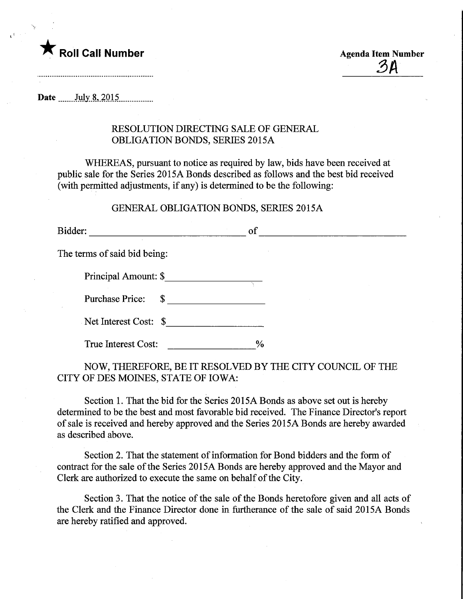

3A

Date July 8, 2015

## RESOLUTION DIRECTING SALE OF GENERAL OBLIGATION BONDS, SERIES 2015A

WHEREAS, pursuant to notice as required by law, bids have been received at public sale for the Series 2015A Bonds described as follows and the best bid received (with permitted adjustments, if any) is determined to be the following:

## GENERAL OBLIGATION BONDS, SERIES 2015A

Bidder: of The terms of said bid being: Principal Amount: \$ Purchase Price:  $\quad \quad \text{\AA}$ Net Interest Cost: \$ True Interest Cost:  $\%$ 

NOW, THEREFORE, BE IT RESOLVED BY THE CITY COUNCIL OF THE CITY OF DES MOINES, STATE OF IOWA:

Section 1. That the bid for the Series 2015A Bonds as above set out is hereby determined to be the best and most favorable bid received. The Finance Director's report of sale is received and hereby approved and the Series 2015A Bonds are hereby awarded as described above.

Section 2. That the statement of information for Bond bidders and the form of contract for the sale of the Series 2015A Bonds are hereby approved and the Mayor and Clerk are authorized to execute the same on behalf of the City.

Section 3. That the notice of the sale of the Bonds heretofore given and all acts of the Clerk and the Finance Director done in furtherance of the sale of said 2015A Bonds are hereby ratified and approved.